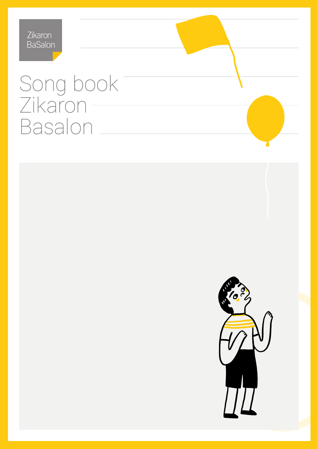# Song book Zikaron Basalon

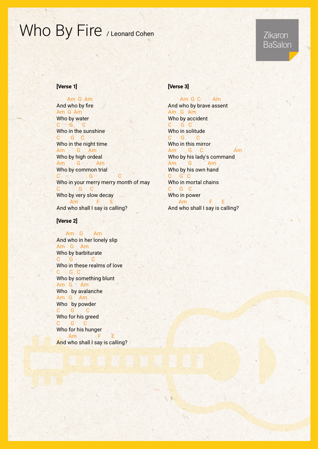# Who By Fire / Leonard Cohen

### Zikaron **BaSalon**

#### [Verse 1]

Am G Am And who by fire Am G Am Who by water C G C Who in the sunshine C G C Who in the night time Am G Am Who by high ordeal Am G Am Who by common trial C<sub>c</sub> G Who in your merry merry month of may C G C Who by very slow decay Am F I And who shall I say is calling?

#### [Verse 2]

Am G Am And who in her lonely slip Am G Am Who by barbiturate C G C Who in these realms of love C G C Who by something blunt Am G Am Who by avalanche Am G Am Who by powder C G C Who for his greed C G C Who for his hunger Am F And who shall I say is calling?

#### [Verse 3]

Am G C Am And who by brave assent Am G Am Who by accident C G C Who in solitude C G C Who in this mirror Am C G Am Who by his lady's command Am G Am Who by his own hand C G C Who in mortal chains C G C Who in power Am F And who shall I say is calling?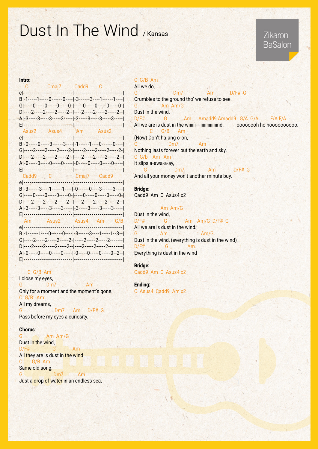## Dust In The Wind / Kansas

### Zikaron **BaSalon**

#### Intro:

| C Cmaj7 Cadd9 C                                                                                                  |  |
|------------------------------------------------------------------------------------------------------------------|--|
| B -1-----1-----0------0---- -3------3----1------1---- <br>G -----0-----0-----0-----0- -----0-----0-----0-----0-  |  |
| D ----2-----2-----2-----2-- ----2------2-----2-----2-- <br>A -3-----3-----3-----3----- -3-----3-----3-----3----- |  |
|                                                                                                                  |  |
| B -0-----0-----3------3---- -1------1----0------0----                                                            |  |
| D ----2-----2-----2-----2-- ----2-----2-----2-----2-- <br>A -0-----0-----0-----0----- -0-----0-----0-----0-----  |  |
|                                                                                                                  |  |
|                                                                                                                  |  |
| B -3------3----1------1---- -0------0----3------3-----                                                           |  |
| G -----0-----0-----0-----0- -----0-----0-----0-----0- <br>D ----2-----2-----2-----2-- ----2-----2-----2-----2--  |  |
| A -3-----3-----3-----3----- -3-----3-----3-----3-----                                                            |  |
|                                                                                                                  |  |
| B -1------1----0------0---- -3------3----1-----1--3--                                                            |  |
| A -0-----0-----0-----0----- -0-----0-----0-----0--2--                                                            |  |

#### $C$  G/B Am

I close my eyes, G Dm7 Am Only for a moment and the moment's gone.  $C G/B$  Am All my dreams, G #F/D Am 7Dm G Pass before my eyes a curiosity.

#### :Chorus

G Am Am/G Dust in the wind.  $D/F#$  G Am All they are is dust in the wind  $C$  G/B Am Same old song, G Dm7 Am

Just a drop of water in an endless sea,

### $C$  G/B Am

All we do,  $G$   $Dm7$   $Am$   $D/F#$   $G$ Crumbles to the ground tho' we refuse to see. G Am Am/G Dust in the wind, D/F# G Am Amadd9 Amadd9 G/A G/A F/A F/A All we are is dust in the wiiiiii---iiiiiiiiiiiiiind, oooooooh ho hoooooooooo. C G/B Am (Now) Don't ha-ang o-on, G Dm7 Am Nothing lasts forever but the earth and sky.  $C G/b$  Am Am It slips a-awa-a-ay, G # Dm7 Am \* D/F# G

And all your money won't another minute buy.

Bridge:

Cadd9 Am C Asus4 x2

Am Am/G Dust in the wind.  $D/F#$  G Am Am/G D/F#G All we are is dust in the wind. G Am Am Am/G Dust in the wind, (everything is dust in the wind)  $D/F#$   $G$  Am Everything is dust in the wind

#### Bridge:

Cadd9 Am C Asus4 x2

Ending: C Asus4 Cadd9 Am x2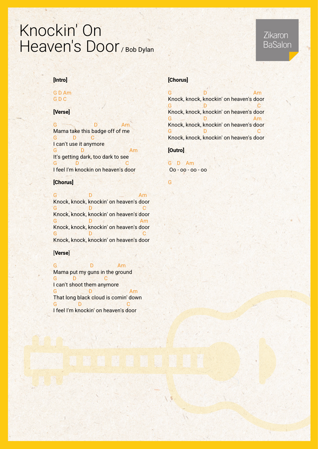## Knockin' On Heaven's Door / Bob Dylan

#### [Intro]

#### **GD** Am G D C

#### [Verse]

G D Am Mama take this badge off of me G D C I can't use it anymore G D Am D Am D B Am D B Am D B Am D B B Am D B B Am D B B B B B  $\mathsf{A}\mathsf{m}$ It's getting dark, too dark to see G D G C I feel I'm knockin on heaven's door

#### [Chorus]

G D Am Knock, knock, knockin' on heaven's door General December Control Control Control Control Control Control Control Control Control Control Co Knock, knock, knockin' on heaven's door Germany Definition of American American American American American American American American American America<br>Experimental American American American American American American American American American American America Knock, knock, knockin' on heaven's door General December 1988 C Knock, knock, knockin' on heaven's door

#### [Verse]

G D Am Mama put my guns in the ground G D C I can't shoot them anymore Am D G That long black cloud is comin' down General December 2016 C I feel I'm knockin' on heaven's door

#### [Chorus]

Germany December 2014 Am Knock, knock, knockin' on heaven's door G B D G C C Knock, knock, knockin' on heaven's door Germany December 2014 Am Knock, knock, knockin' on heaven's door General December 1980 Knock, knock, knockin' on heaven's door

#### [Outro]

G D Am oo - oo - oo - Oo

G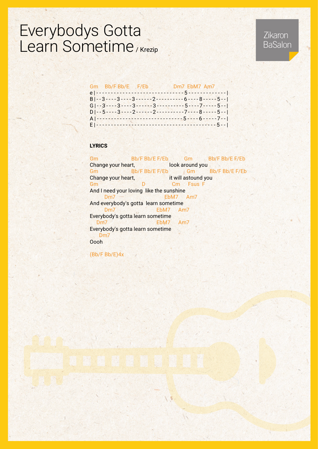## Everybodys Gotta Learn Sometime / Krezip

### Zikaron **BaSalon**

#### Gm Bb/F Bb/E F/Eb Dm7 EbM7 Am7

|                 |  |                              | $B -3---3---3---2---2---6---8---5---5-1$                                                                                                                                                                                                                                                                                                                                                             |  |
|-----------------|--|------------------------------|------------------------------------------------------------------------------------------------------------------------------------------------------------------------------------------------------------------------------------------------------------------------------------------------------------------------------------------------------------------------------------------------------|--|
|                 |  |                              | $G\left[-3\cdots3\cdots3\cdots3\cdots3\cdots3\cdots1\cdots5\cdots7\cdots5\cdots5\cdots1\right]$                                                                                                                                                                                                                                                                                                      |  |
|                 |  |                              | $D \left  \frac{1}{2} - 5 - \frac{3}{2} - \frac{2}{2} - \frac{1}{2} - \frac{2}{2} - \frac{3}{2} - \frac{3}{2} - \frac{3}{2} - \frac{3}{2} - \frac{3}{2} - \frac{3}{2} - \frac{1}{2} - \frac{3}{2} - \frac{1}{2} - \frac{3}{2} - \frac{1}{2} - \frac{3}{2} - \frac{1}{2} - \frac{3}{2} - \frac{1}{2} - \frac{3}{2} - \frac{1}{2} - \frac{3}{2} - \frac{1}{2} - \frac{3}{2} - \frac{1}{2} - \frac{3}{$ |  |
|                 |  | A -------------------------- |                                                                                                                                                                                                                                                                                                                                                                                                      |  |
| El ------------ |  |                              | ----------------------------5--                                                                                                                                                                                                                                                                                                                                                                      |  |

#### **LYRICS**

Gm Bb/F Bb/E F/Eb Gm Bb/F Bb/E F/Eb Change your heart, **Example 20 is a constructed by Change** your Gm Bb/F Bb/F Bb/E F/Eb Gm Bb/F Bb/E F/Eb Change your heart, example it will astound you **Gm** D Cm Fsus F And I need your loving like the sunshine Dm7 EbM7 Am7 And everybody's gotta learn sometime **Dm7 EbM7** Am7 Everybody's gotta learn sometime Dm7 EbM7 Am7 Everybody's gotta learn sometime Dm<sub>7</sub> Oooh

 $(Bb/FBb/E)4x$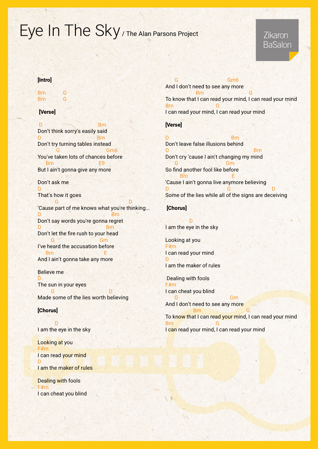# Eye In The Sky / The Alan Parsons Project

### Zikaron BaSalon

#### [Intro]

Bm G G Bm

#### [Verse]

D<sub>am</sub> Bm Don't think sorry's easily said Design and the Book Bm Don't try turning tables instead Gm<sub>6</sub> You've taken lots of chances before B<sub>m</sub> But I ain't gonna give any more Don't ask me D That's how it goes D G 'Cause part of me knows what you're thinking... **Definition of the property of the Bm** Don't say words you're gonna regret **D** Bm Don't let the fire rush to your head Gm G I've heard the accusation before **Excellent Contract Contract Contract Contract Contract Contract Contract Contract Contract Contract Contract C** And I ain't gonna take any more

#### **Believe me** D The sun in your eyes D G Made some of the lies worth believing

#### [Chorus]

**D** I am the eye in the sky

Looking at you F#m I can read your mind D I am the maker of rules

**Dealing with fools** F#m I can cheat you blind

 $G<sub>m6</sub>$ And I don't need to see any more G Bm To know that I can read your mind, I can read your mind **Bm** I can read your mind, I can read your mind

#### [Verse]

Design and Design and Design and Design and Design and Design and Design and Design and Design and D Don't leave false illusions behind **Department of the Contract of the Bm** Don't cry 'cause I ain't changing my mind Gm G So find another fool like before **E** Bm **Bm E** 'Cause I ain't gonna live anymore believing D G D Some of the lies while all of the signs are deceiving

#### [Chorus]

**D** I am the eye in the sky

Looking at you F#m I can read your mind  $\mathbf{D}$ 

I am the maker of rules

Dealing with fools F#m I can cheat you blind

Gm G And I don't need to see any more **Bm** G To know that I can read your mind, I can read your mind **Bm** I can read your mind, I can read your mind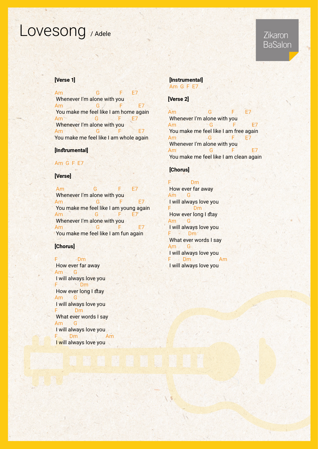## Lovesong / Adele

### Zikaron **BaSalon**

#### [Verse 1]

Am G F E7 Whenever I'm alone with you Am G F You make me feel like I am home again Am G F E7 Whenever I'm alone with you Am G You make me feel like I am whole again

#### [Instrumental]

#### Am G F E7

#### [Verse]

Am G F E7 Whenever I'm alone with you Am G F E7 You make me feel like I am young again Am G F E7 Whenever I'm alone with you Am G You make me feel like I am fun again

#### [Chorus]

F Dm How ever far away Am G I will always love you F Dm How ever long I stay Am G I will always love you Dm F What ever words I say Am G I will always love you F Dm Am I will always love you

#### [Instrumental] Am G F E7

#### [Verse 2]

Am G F E7 Whenever I'm alone with you Am G F E7 You make me feel like I am free again Am G F E7 Whenever I'm alone with you Am G F E7 You make me feel like I am clean again

#### [Chorus]

D<sub>m</sub> How ever far away Am G I will always love you F Dm How ever long I stay Am G I will always love you F Dm What ever words I say Am<sub>G</sub> I will always love you F Dm Am I will always love you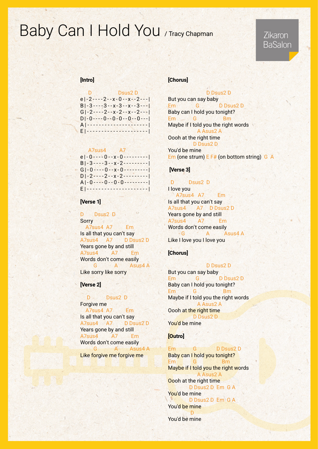## Baby Can I Hold You / Tracy Chapman

### Zikaron BaSalon

#### [Intro]

| $e  -2---2--x-0--x--2--- $ |
|----------------------------|
| $B -3---3---x-3---x-3---1$ |
| $G$  -2----2--x-2--x--2--- |
| $D -0---0---0-0-0---0---1$ |
|                            |
|                            |

#### A7sus4

| $e$  -0----0--x-0--------- |
|----------------------------|
| $B -3---3---x-2---$        |
|                            |
| $D -2---2--x-2---$         |
| $A[-0---0--0-0$            |
| 12 A A 4 4 4 4             |

#### [Verse 1]

D Dsus2 D **Sorry** A7sus4 A7 Em Is all that you can't say A7sus4 A7 D D sus2 D Years gone by and still A7sus4 A7 Em Words don't come easily G A Asus 4 A Like sorry like sorry

#### **Nerse** 2

D Dsus2 D Forgive me A7sus4 A7 Em Is all that you can't say A7sus4 A7 D D Sus2 D Years gone by and still A7sus4 A7 Em Words don't come easily G A Asus4 A Like forgive me forgive me

#### [Chorus]

D Dsus 2 D But you can say baby Em G D D 3us 2 D Baby can I hold you tonight? Bm G Em Maybe if I told you the right words A Asus 2 A Oooh at the right time D Dsus2 D You'd be mine Em (one strum)  $E$  F# (on bottom string) G A

#### [Verse 3]

D Dsus2 D I love you A7sus4 A7 Em Is all that you can't say A7sus 4 A7 D D Sus 2 D Years gone by and still A7sus4 A7 Em Words don't come easily A 4Asus A G Like I love you I love you

#### [Chorus]

#### D Dsus2 D

But you can say baby Em G D D 2D 2D Baby can I hold you tonight? Bm G Em Maybe if I told you the right words A Asus 2 A Oooh at the right time D Dsus 2 D You'd be mine

#### **[Outro]**

 $P_m = G \tD \tD \tD \tD \tD$ Baby can I hold you tonight? Bm G Em Maybe if I told you the right words A Asus 2 A Oooh at the right time D Dsus2 D Em G A You'd be mine D Dsus 2 D Em G A You'd be mine **D** You'd be mine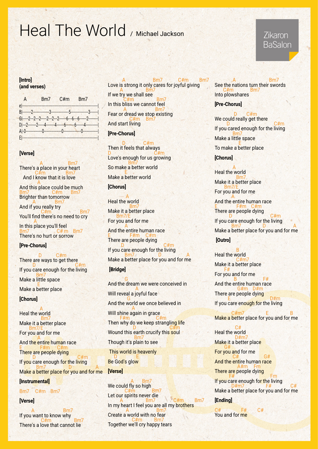## Heal The World / Michael Jackson

#### [Intro] (and verses)

| A                          | <b>Signal</b>                        | $Bm7$ $C/m$ | B <sub>m</sub> |  |
|----------------------------|--------------------------------------|-------------|----------------|--|
| $e$ -----                  |                                      |             |                |  |
|                            |                                      |             |                |  |
|                            | $6$ ---2-2-2-2-2-2-2-2-3-6-6-6-6-2-2 |             |                |  |
|                            |                                      |             |                |  |
|                            |                                      |             |                |  |
| <u> E ----------------</u> |                                      |             |                |  |

#### [Verse]

**28 A** Bm7 There's a place in your heart  $2.5$  C#m Bm7 **And I know that it is love** A And this place could be much Bm7 C#m Bm7 Brighter than tomorrow **2** A Bm7 And if you really try **7**Bm7 You'll find there's no need to cry A

In this place you'll feel 8m7 C# m Bm7 There's no hurt or sorrow

#### [Pre-Chorus]

**b** D C#m There are ways to get there m#C D If you care enough for the living **Bm7** <u>Make a little space</u> E MARINE <u>Make a better place</u>

#### **[Chorus]**

A <u>Heal the world</u> **1985 Bm7** <u>Make it a better place</u>  $\equiv$ Bm7/E For you and for me A And the entire hu<mark>ma</mark>n race  $E = F \# m$  C#m There are people dying m D C#m If <mark>you</mark> care enough f<mark>or t</mark>he l<mark>ivin</mark>g **Bm7** D A M<mark>ake a better place for you and for m</mark>e

### [Instrumental]

Bm7 C#m Bm7

#### [Verse]

**2** Bm7 If you want to know why  $2 \times 10^{14} \text{ m}$ There's a love that cannot lie

7Bm m#C 7Bm A Love is strong it only cares for joyful giving **A** Bm7 If we try we shall see **7**Bm7 In this bliss we cannot feel **2** A Bm7 Fear or dread we stop existing **7** C#m Bm7 And start living

#### [Pre-Chorus]

n D C#m Then it feels that always  $D \rightarrow \mathbb{C}$ #m Love's enough for us growing **Participal Bm7** So make a better world E TAN

<u>Make a better world</u>

#### [Chorus]

 $-A$ Heal the world **1989** Bm7 <u>Make it a better place</u> Bm7/E For you and for me A And the entire human race  $E = F \# m \quad C \# m$ There are people dying m D D C#m If you care enough for the living **Bm7** D A Make a better place for you and for me **[Bridge]** 

**G** And the dream we were conceived in A Will reveal a joyful face **G** And the world we once believed in A <u>Will shine again in grace</u> **F#m** C#m Then why do we keep strangli<mark>ng li</mark>fe m D C#m Wound this earth crucify this soul **1989 Bm7** 

Though it's plain to see

This world is heavenly E D Be God's glow

#### [Verse]

**A** Bm We could fly so high **7** C#m Bm7 Let our spirits never die 7Bm7 M C#m Bm7 In my heart I feel you are all my brothers **2** A Bm7 Create a world with no fear  $27$  m m  $27$  m  $27$  m  $27$  m  $27$  m  $27$  m  $27$  m  $27$  m  $27$  m  $27$  m  $27$  m  $27$  m  $27$  m  $27$  m  $27$  m  $27$  m  $27$  m  $27$  m  $27$  m  $27$  m  $27$  m  $27$  m  $27$  m  $27$  m  $27$  m  $27$  m  $27$  m  $27$  m  $27$  m  $27$  m  $27$  m  $2$ Together we'll cry happy tears

#### *A* Bm See the nations turn their swords  $C#m$  Bm7 Into plowshares

#### [Pre-Chorus]

n D C#m We could really get there  $\blacksquare$  D D  $\blacksquare$  D  $\blacksquare$  D  $\blacksquare$   $\blacksquare$   $\blacksquare$   $\blacksquare$   $\blacksquare$   $\blacksquare$   $\blacksquare$   $\blacksquare$   $\blacksquare$   $\blacksquare$   $\blacksquare$   $\blacksquare$   $\blacksquare$   $\blacksquare$   $\blacksquare$   $\blacksquare$   $\blacksquare$   $\blacksquare$   $\blacksquare$   $\blacksquare$   $\blacksquare$   $\blacksquare$   $\blacksquare$   $\blacksquare$   $\blacksquare$   $\blacksquare$   $\blacksquare$   $\bl$ If you cared enough for the living **Participal** Bm7 <u>Make a little space</u> e e de la <mark>E</mark> To make a better place

#### [Chorus]

A Heal the world 7Bm Make it a better place  $\_$  Bm7/E For you and for me A And the entire human race  $E = F \# m \; C \# m$ There are people dying m D C#m If you care enough for the living **Bm7** D A Make a better place for you and for me

#### [Outro]

**B** Heal the world **7** C#m7 Make it a better place  $F#$ For you and for me #F B And the entire human race m G#m D#m There are people dying m E D#m If you care eno<mark>ugh f</mark>or the living

 $C \# m7$  E B Make a better place for you and for me

 $C#$ Heal the world 7m#D <u>Make it</u> a better plac<mark>e</mark>  $-$  G# For you and for me  $A^*$   $C^*$   $G^*$ And the entire human race **A#m** Fm There are people dying  $F#$   $Fm$ If you care enough fo<mark>r t</mark>he living  $D#m7$   $F#$   $C#$ Make a better place for you and for me [Ending]

 $C#$   $F#$   $C#$ You and for me

### **Zikaron** BaSalon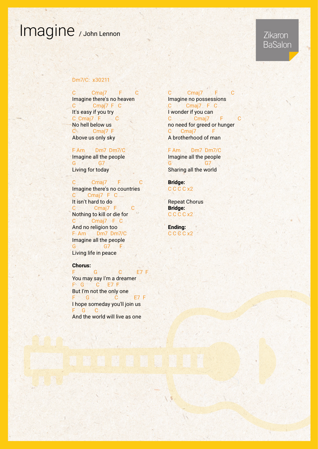## Imagine / John Lennon

### Zikaron **BaSalon**

#### Dm7/C: x30211

C Cmaj7 F C Imagine there's no heaven C Cmaj7 F C It's easy if you try C Cmaj7 F C No hell below us C Cmaj7 F Above us only sky

F Am Dm7 Dm7/C Imagine all the people G · G7 Living for today

C Cmaj7 F C Imagine there's no countries C Cmaj7 F C It isn't hard to do C Cmaj7 F C Nothing to kill or die for C Cmaj7 F C And no religion too F Am Dm7 Dm7/C Imagine all the people G 7 F Living life in peace

#### :Chorus

F G C E7F You may say I'm a dreamer F G C E7F But I'm not the only one F G & C E7F I hope someday you'll join us F G C And the world will live as one

C Cmaj7 F C Imagine no possessions C Cmaj7 F C I wonder if you can C Cmaj7 F no need for greed or hunger C Cmaj7 A brotherhood of man

F Am Dm7 Dm7/C Imagine all the people 7G G Sharing all the world

Bridge: C C C x2

**Repeat Chorus** Bridge: C C C x2

Ending: C C C x2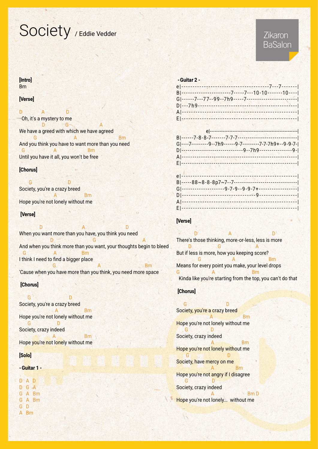## Society / Eddie Vedder

### Zikaron **BaSalon**

#### [Intro] Bm

#### [Verse]

D A D Oh, it's a mystery to me **D** G A We have a greed with which we have agreed Bm A G And you think you have to want more than you need **G** A Bm Until you have it all, you won't be free

#### [Chorus]

D G Society, you're a crazy breed Bm A Hope you're not lonely without me

#### [Verse]

**D** D **A** A D When you want more than you have, you think you need A G D And when you think more than you want, your thoughts begin to bleed **G** Bm I think I need to find a bigger place  $\mathsf{B}_{\mathsf{A}}$  and  $\mathsf{B}_{\mathsf{B}}$  and  $\mathsf{B}_{\mathsf{B}}$  and  $\mathsf{B}_{\mathsf{B}}$  and  $\mathsf{B}_{\mathsf{B}}$  and  $\mathsf{B}_{\mathsf{B}}$ 

'Cause when you have more than you think, you need more space

#### [Chorus]

D G Society, you're a crazy breed **Example 2** A Bm Hope you're not lonely without me D G Society, crazy indeed **Example 2** A Bm Hope you're not lonely without me

#### **[Solo]**

#### - Guitar 1 -

D A D D G A G A Bm G A Bm G D A Bm

| - Guitar 2 -                                            |  |
|---------------------------------------------------------|--|
|                                                         |  |
| B --------------------------7----7---10-10-------10---- |  |
|                                                         |  |
|                                                         |  |
|                                                         |  |
|                                                         |  |

### [Verse]

**D A** B **A** D There's those thinking, more-or-less, less is more **D** December 1989 **A** But if less is more, how you keeping score?  $\mathsf{B}_{\mathsf{A}}$  and  $\mathsf{B}_{\mathsf{B}}$  and  $\mathsf{B}_{\mathsf{A}}$  and  $\mathsf{B}_{\mathsf{B}}$  and  $\mathsf{B}_{\mathsf{B}}$ Means for every point you make, your level drops Germany A Germany Bm Kinda like you're starting from the top, you can't do that

### [Chorus]

**Contract of the Contract of D** Society, you're a crazy breed **Example 2.1 A** Hope you're not lonely without me D G Society, crazy indeed **Example 20** A **Bm** Hope you're not lonely without me D G Society, have mercy on me **Example 2** A Bm Hope you're not angry if I disagree D G Society, crazy indeed  $BmD$ Hope you're not lonely... without me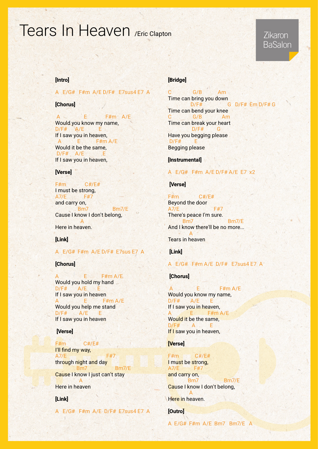## Tears In Heaven / Fric Clapton

### **Zikaron** BaSalon

#### [Intro]

#### A E/G# F#m A/E D/F# E7sus4 E7 A

#### [Chorus]

 $A \sim E$  F#m  $A/E$ Would you know my name,  $D/F#$   $A/E$   $E$ If I saw you in heaven,  $A$  E F#m A/E Would it be the same,  $D/F#$   $A/E$   $E$ If I saw you in heaven,

#### [Verse]

 $F#m$   $C#/E#$ I must be strong, A7/E F#7 and carry on, E<sub>1</sub> Bm<sup>7</sup>/E<sub>1</sub> Cause I know I don't belong, A Here in heaven.

#### [Link]

#### A E/G# F#m A/E D/F# E7sus E7 A

#### [Chorus]

 $E = F \# m A / E$ Would you hold my hand  $D/F#$   $A/E$   $E$ If I saw you in heaven A E F#m A/E Would you help me stand  $D/F#$   $A/E$   $E$ If I saw you in heaven

#### [Verse]

#### $F#m$   $C#/E#$ l'Il find my way,  $A7/E$  F#7 through night and day Bm7 Bm7/E Cause I know I just can't stay A

Here in heaven

#### [Link]

A E/G# F#m A/E D/F# E7sus4 E7 A

#### **[Bridge]**

 $G/B$  Am Time can bring you down  $D/F#$  G  $D/F#$  Em  $D/F#G$ Time can bend your knee C G/B Am Time can break your heart  $D/F#$  G Have you begging please  $D/F#$  E **Begging please** 

[Instrumental]

#### A  $E/G#$  F#m A/E D/F# A/E E7 x2

#### [Verse]

 $F#m$   $C#/F#$ Beyond the door  $AY/E$  F#7 There's peace I'm sure. E7/Bm7 Bm7/E And I know there'll be no more... A **Tears in heaven** 

#### $[Link]$

#### A E/G# F#m A/E D/F# E7sus4 E7 A

#### [Chorus]

A E F#m A/E Would you know my name,  $D/F#$   $A/E$   $E$ If I saw you in heaven, A E F#m A/E Would it be the same,  $D/F#$  A E If I saw you in heaven,

#### [Verse]

 $F#m$   $C#/F#$ I must be strong, A7/E F#7 and carry on, **E77/Bm7/E** Cause I know I don't belong, A

Here in heaven.

**[Outro]** 

A E/G# F#m A/E Bm7 Bm7/E A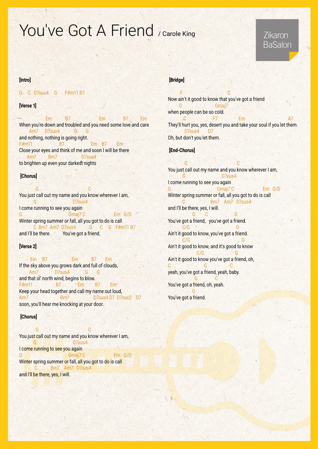# You've Got A Friend / Carole King

### Zikaron **BaSalon**

#### [Intro]

#### G C D7sus4 G F#m11 B7

#### [Verse 1]

Em 8/ Em 8/ Em 8/ Em When you're down and troubled and you need some love and care Am7 D7sus4 G G and nothing, nothing is going right. F#m11 B7 B7 Em B7 Em Close your eyes and think of me and soon I will be there Am7 Bm7 D7sus4 to brighten up even your darkest nights

#### [Chorus]

C G You just call out my name and you know wherever I am, asset by D7sus4 I come running to see you again Gmaj7 C Em G/D Winter spring summer or fall, all you got to do is call C Bm7 Am7 D7sus4 G C G F#m11 B7 and I'll be there. You've got a friend.

#### [Verse 2]

Em B7 Em B7 Em If the sky above you grows dark and full of clouds, Am7 D7sus4 G G and that ol' north wind, begins to blow. F#m11 B7 Em B7 Em Keep your head together and call my name out loud, Am7 8m7 Bm7 D7sus4 D7 D7sus2 D7 soon, you'll hear me knocking at your door.

#### [Chorus]

**C** George Countries of C You just call out my name and you know wherever I am, 16 D D Tsus4 I come running to see you again Gmaj7 C Em G/D Winter spring summer or fall, all you got to do is call 4sus C Bm7 Am7 D7sus4 and I'll be there, yes, I will.

#### [Bridge]

**C** Fig. 1. The contract of the C Now ain't it good to know that you've got a friend *Gmaj7* when people can be so cold.  $2 \times 7$  Em  $2 \times 7$  Em  $2 \times 7$ They'll hurt you, yes, desert you and take your soul if you let them. D7sus4 D7 Oh, but don't you let them.

#### [End-Chorus]

C G You just call out my name and you know wherever I am, Galleria de D7sus4 I come running to see you again G Comaj Gmaj 7 C 6 Cm Em G/D Winter spring summer or fall, all you got to do is call C Bm7 Am7 D7sus4 and I'll be there, yes, I will. G C G You've got a friend, you've got a friend. G G/C Ain't it good to know, you've got a friend. G G/C Ain't it good to know, and it's good to know  $C/G$ Ain't it good to know you've got a friend, oh, C G C yeah, you've got a friend, yeah, baby.  $G$ You've got a friend, oh, yeah. **G** You've got a friend.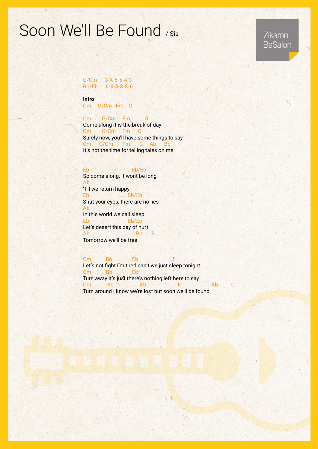## Soon We'll Be Found / Sia

Zikaron **BaSalon** 

 $G/Cm$   $3-X-5-5-4-3$ Bb/Eb 6-X-8-8-8-6

Intro

Cm G/Cm Fm G

Cm G/Cm Fm G Come along it is the break of day Cm G/Cm Fm G Surely now, you'll have some things to say Cm G/Cm Fm G Ab Bb It's not the time for telling tales on me

Eb Bb/Eb So come along, it wont be long Ab 'Til we return happy Eb<sub>b</sub> Shut your eyes, there are no lies Ab In this world we call sleep Eb Bb/Eb Let's desert this day of hurt Ab Bb G Tomorrow we'll be free

Cm Bb Eb Let's not fight I'm tired can't we just sleep tonight Cm Bb Eb Turn away it's just there's nothing left here to say Cm Bb Eb F Ab G Turn around I know we're lost but soon we'll be found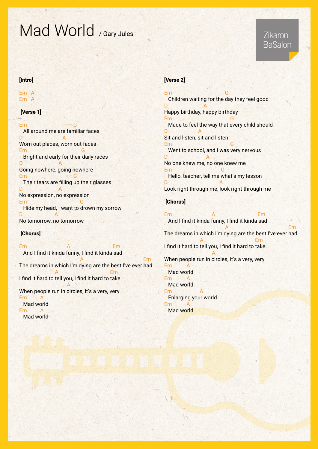# Mad World / Gary Jules

### Zikaron **BaSalon**

#### [Intro]

A Em A Em

#### [Verse 1]

Email: Contact Contact Contact Contact Contact Contact Contact Contact Contact Contact Contact Contact Contact Contact Contact Contact Contact Contact Contact Contact Contact Contact Contact Contact Contact Contact Contact All around me are familiar faces D<sub>A</sub> Worn out places, worn out faces Em Grand Construction Construction Construction Construction Construction Construction Construction Construction Construction Construction Construction Construction Construction Construction Construction Construction Const Bright and early for their daily races  $\mathsf{D}$  A Going nowhere, going nowhere Em Their tears are filling up their glasses  $D \qquad A$ No expression, no expression **Em** Hide my head, I want to drown my sorrow D A No tomorrow, no tomorrow

#### [Chorus]

Em A Em And I find it kinda funny, I find it kinda sad Em et al. 2008. A construction of the Emile Section of the Emile Section of the American Section of the American Section of the American Section of the American Section of the American Section of the American Section of th

The dreams in which I'm dying are the best I've ever had Em A I find it hard to tell you, I find it hard to take **A** 

When people run in circles, it's a very, very E<sub>m</sub>

Mad world **Em** Mad world

#### [Verse 2]

Em Grand Construction of the Construction of the Construction of the Construction of the Construction of the C Children waiting for the day they feel good  $D \qquad A$ Happy birthday, happy birthday Emanuel Company of the G Made to feel the way that every child should  $\mathsf{D}$  A Sit and listen, sit and listen Employee and the Contract of G Went to school, and I was very nervous D A No one knew me, no one knew me Em<sub>p</sub> contract G Hello, teacher, tell me what's my lesson D<sub>A</sub> Look right through me, look right through me

#### [Chorus]

Em A Em And I find it kinda funny, I find it kinda sad **Em Albert Additional Em** The dreams in which I'm dying are the best I've ever had **Em A** Emergency A I find it hard to tell you, I find it hard to take **A** When people run in circles, it's a very, very **Em** Mad world F<sub>m</sub> Mad world F<sub>m</sub> Enlarging your world E<sub>m</sub> Mad world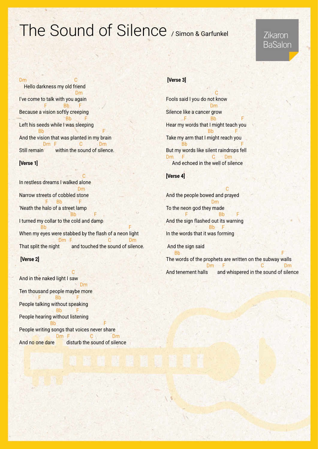## The Sound of Silence / Simon & Garfunkel

### Zikaron **BaSalon**

#### D<sub>m</sub>

Hello darkness my old friend **Dm** I've come to talk with you again F Bb F Because a vision softly creeping **F** Bb F Left his seeds while I was sleeping F Bb Bb B B B B B B B B B B B And the vision that was planted in my brain Dm F C Dm Still remain within the sound of silence.

#### **Nerse 1**

**Contract of the Contract of Contract of Contract of Contract of Contract of Contract of Contract of Contract o** In restless dreams I walked alone **Dm** Narrow streets of cobbled stone F Bb 'Neath the halo of a street lamp **F** Bb Bb B B I turned my collar to the cold and damp F Bb When my eyes were stabbed by the flash of a neon light **Dm F** Dm C Dm That split the night and touched the sound of silence.

#### [Verse 2]

**C** And in the naked light I saw <u>Dmarting the Second Second Second Second Second Second Second Second Second Second Second Second Second Second Second Second Second Second Second Second Second Second Second Second Second Second Second Second Second Secon</u> Ten thousand people maybe more B<sub>b</sub> People talking without speaking **F** Bb Bb People hearing without listening F Bb  $\mathbb{R}^n$  Bb  $\mathbb{R}^n$  Bb  $\mathbb{R}^n$ People writing songs that voices never share Dm F C Dm And no one dare disturb the sound of silence

### [Verse 3]

**Contract of the Contract of Contract of the Contract of the Contract of the Contract of the Contract of the Co** Fools said I you do not know **Dm** Silence like a cancer grow **F** Bb Bb F Hear my words that I might teach you F Bb Take my arm that I might reach you **F** Bb<sub>i</sub> Bb<sub>i</sub> Bbi B But my words like silent raindrops fell Dm F C Dm And echoed in the well of silence

#### [Verse 4]

<u>Communication of the Communication of</u> And the people bowed and prayed Dm To the neon god they made **F** Bb F And the sign flashed out its warning  $B<sub>b</sub>$ In the words that it was forming

And the sign said  $\mathsf{B}\mathsf{b}$  , and the set of  $\mathsf{F}$  is the set of  $\mathsf{F}$ The words of the prophets are written on the subway walls Dm F C Dm And tenement halls and whispered in the sound of silence